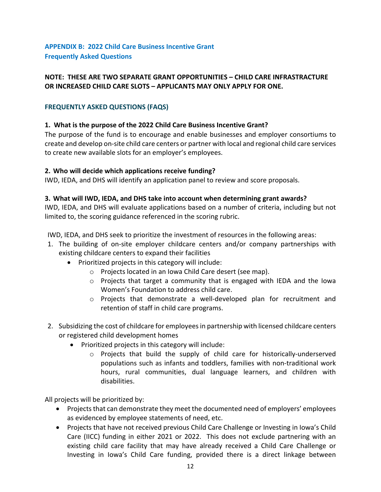## **NOTE: THESE ARE TWO SEPARATE GRANT OPPORTUNITIES – CHILD CARE INFRASTRACTURE OR INCREASED CHILD CARE SLOTS – APPLICANTS MAY ONLY APPLY FOR ONE.**

## **FREQUENTLY ASKED QUESTIONS (FAQS)**

# **1. What is the purpose of the 2022 Child Care Business Incentive Grant?**

The purpose of the fund is to encourage and enable businesses and employer consortiums to create and develop on‐site child care centers or partner with local and regional child care services to create new available slots for an employer's employees.

# **2. Who will decide which applications receive funding?**

IWD, IEDA, and DHS will identify an application panel to review and score proposals.

# **3. What will IWD, IEDA, and DHS take into account when determining grant awards?**

IWD, IEDA, and DHS will evaluate applications based on a number of criteria, including but not limited to, the scoring guidance referenced in the scoring rubric.

IWD, IEDA, and DHS seek to prioritize the investment of resources in the following areas:

- 1. The building of on‐site employer childcare centers and/or company partnerships with existing childcare centers to expand their facilities
	- Prioritized projects in this category will include:
		- o Projects located in an Iowa Child Care desert (see map).
		- o Projects that target a community that is engaged with IEDA and the Iowa Women's Foundation to address child care.
		- o Projects that demonstrate a well‐developed plan for recruitment and retention of staff in child care programs.
- 2. Subsidizing the cost of childcare for employeesin partnership with licensed childcare centers or registered child development homes
	- Prioritized projects in this category will include:
		- o Projects that build the supply of child care for historically‐underserved populations such as infants and toddlers, families with non‐traditional work hours, rural communities, dual language learners, and children with disabilities.

All projects will be prioritized by:

- Projects that can demonstrate they meet the documented need of employers' employees as evidenced by employee statements of need, etc.
- Projects that have not received previous Child Care Challenge or Investing in Iowa's Child Care (IICC) funding in either 2021 or 2022. This does not exclude partnering with an existing child care facility that may have already received a Child Care Challenge or Investing in Iowa's Child Care funding, provided there is a direct linkage between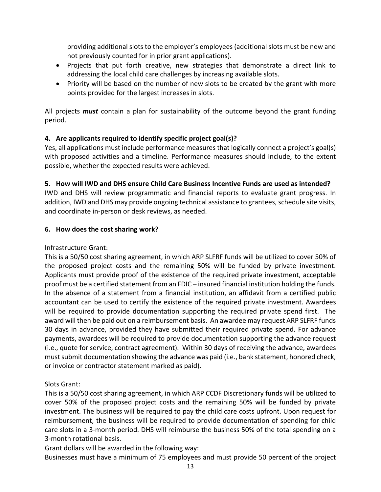providing additional slots to the employer's employees (additional slots must be new and not previously counted for in prior grant applications).

- Projects that put forth creative, new strategies that demonstrate a direct link to addressing the local child care challenges by increasing available slots.
- Priority will be based on the number of new slots to be created by the grant with more points provided for the largest increases in slots.

All projects *must* contain a plan for sustainability of the outcome beyond the grant funding period.

# **4. Are applicants required to identify specific project goal(s)?**

Yes, all applications must include performance measures that logically connect a project's goal(s) with proposed activities and a timeline. Performance measures should include, to the extent possible, whether the expected results were achieved.

# **5. How will IWD and DHS ensure Child Care Business Incentive Funds are used as intended?**

IWD and DHS will review programmatic and financial reports to evaluate grant progress. In addition, IWD and DHS may provide ongoing technical assistance to grantees, schedule site visits, and coordinate in‐person or desk reviews, as needed.

## **6. How does the cost sharing work?**

Infrastructure Grant:

This is a 50/50 cost sharing agreement, in which ARP SLFRF funds will be utilized to cover 50% of the proposed project costs and the remaining 50% will be funded by private investment. Applicants must provide proof of the existence of the required private investment, acceptable proof must be a certified statement from an FDIC – insured financial institution holding the funds. In the absence of a statement from a financial institution, an affidavit from a certified public accountant can be used to certify the existence of the required private investment. Awardees will be required to provide documentation supporting the required private spend first. The award will then be paid out on a reimbursement basis. An awardee may request ARP SLFRF funds 30 days in advance, provided they have submitted their required private spend. For advance payments, awardees will be required to provide documentation supporting the advance request (i.e., quote for service, contract agreement). Within 30 days of receiving the advance, awardees mustsubmit documentation showing the advance was paid (i.e., bank statement, honored check, or invoice or contractor statement marked as paid).

## Slots Grant:

This is a 50/50 cost sharing agreement, in which ARP CCDF Discretionary funds will be utilized to cover 50% of the proposed project costs and the remaining 50% will be funded by private investment. The business will be required to pay the child care costs upfront. Upon request for reimbursement, the business will be required to provide documentation of spending for child care slots in a 3‐month period. DHS will reimburse the business 50% of the total spending on a 3‐month rotational basis.

Grant dollars will be awarded in the following way:

Businesses must have a minimum of 75 employees and must provide 50 percent of the project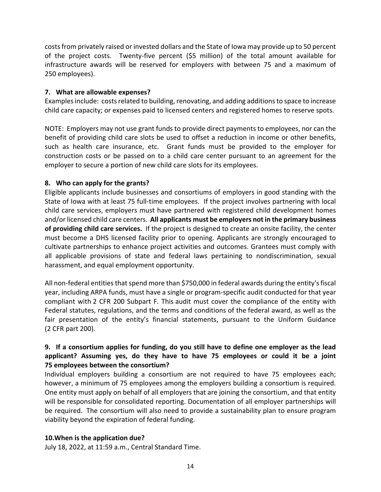costsfrom privately raised or invested dollars and the State of Iowa may provide up to 50 percent of the project costs. Twenty-five percent (\$5 million) of the total amount available for infrastructure awards will be reserved for employers with between 75 and a maximum of 250 employees).

### **7. What are allowable expenses?**

Examplesinclude: costsrelated to building, renovating, and adding additionsto space to increase child care capacity; or expenses paid to licensed centers and registered homes to reserve spots.

NOTE: Employers may not use grant funds to provide direct payments to employees, nor can the benefit of providing child care slots be used to offset a reduction in income or other benefits, such as health care insurance, etc. Grant funds must be provided to the employer for construction costs or be passed on to a child care center pursuant to an agreement for the employer to secure a portion of new child care slots for its employees.

## **8. Who can apply for the grants?**

Eligible applicants include businesses and consortiums of employers in good standing with the State of Iowa with at least 75 full-time employees. If the project involves partnering with local child care services, employers must have partnered with registered child development homes and/or licensed child care centers. **All applicants must be employers notin the primary business of providing child care services.** If the project is designed to create an onsite facility, the center must become a DHS licensed facility prior to opening. Applicants are strongly encouraged to cultivate partnerships to enhance project activities and outcomes. Grantees must comply with all applicable provisions of state and federal laws pertaining to nondiscrimination, sexual harassment, and equal employment opportunity.

All non-federal entities that spend more than \$750,000 in federal awards during the entity's fiscal year, including ARPA funds, must have a single or program‐specific audit conducted for that year compliant with 2 CFR 200 Subpart F. This audit must cover the compliance of the entity with Federal statutes, regulations, and the terms and conditions of the federal award, as well as the fair presentation of the entity's financial statements, pursuant to the Uniform Guidance (2 CFR part 200).

# **9. If a consortium applies for funding, do you still have to define one employer as the lead applicant? Assuming yes, do they have to have 75 employees or could it be a joint 75 employees between the consortium?**

Individual employers building a consortium are not required to have 75 employees each; however, a minimum of 75 employees among the employers building a consortium is required. One entity must apply on behalf of all employers that are joining the consortium, and that entity will be responsible for consolidated reporting. Documentation of all employer partnerships will be required. The consortium will also need to provide a sustainability plan to ensure program viability beyond the expiration of federal funding.

### **10.When is the application due?**

July 18, 2022, at 11:59 a.m., Central Standard Time.